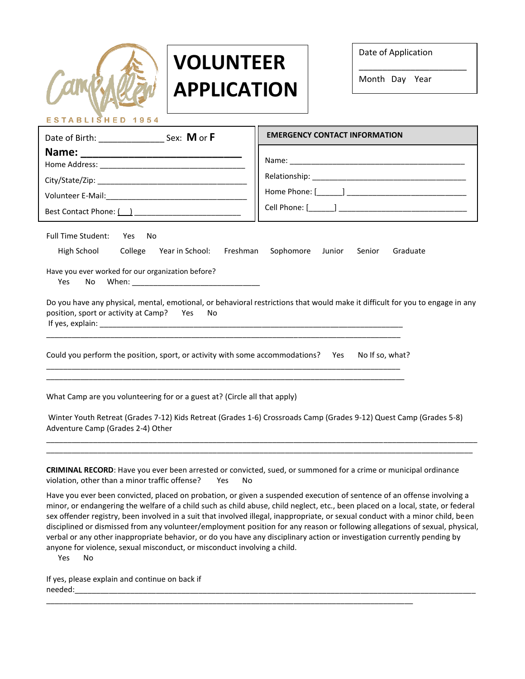| <b>YAR.</b> |  |
|-------------|--|

ESTABLISHED 1954

## **VOLUNTEER APPLICATION**

Date of Application

Month Day Year

\_\_\_\_\_\_\_\_\_\_\_\_\_\_\_\_\_\_\_\_\_\_\_

|                                                                                                                                                                                                                                                                                                                                                                                          |  | <b>EMERGENCY CONTACT INFORMATION</b>                                                                                                                                                                                              |  |
|------------------------------------------------------------------------------------------------------------------------------------------------------------------------------------------------------------------------------------------------------------------------------------------------------------------------------------------------------------------------------------------|--|-----------------------------------------------------------------------------------------------------------------------------------------------------------------------------------------------------------------------------------|--|
| Best Contact Phone: ( )                                                                                                                                                                                                                                                                                                                                                                  |  | Cell Phone: [ <b>will Cell</b> Phone: [will be continued by continued by continued by continued by continued by continued by continued by continued by continued by continued by continued by continued by continued by continued |  |
| Full Time Student: Yes<br>No<br>High School<br>College Year in School:<br>Freshman<br>Sophomore Junior<br>Senior<br>Graduate<br>Have you ever worked for our organization before?<br>Yes<br><b>No</b><br>Do you have any physical, mental, emotional, or behavioral restrictions that would make it difficult for you to engage in any<br>position, sport or activity at Camp? Yes<br>No |  |                                                                                                                                                                                                                                   |  |
| Could you perform the position, sport, or activity with some accommodations? Yes<br>No If so, what?                                                                                                                                                                                                                                                                                      |  |                                                                                                                                                                                                                                   |  |
| What Camp are you volunteering for or a guest at? (Circle all that apply)<br>Winter Youth Retreat (Grades 7-12) Kids Retreat (Grades 1-6) Crossroads Camp (Grades 9-12) Quest Camp (Grades 5-8)<br>Adventure Camp (Grades 2-4) Other                                                                                                                                                     |  |                                                                                                                                                                                                                                   |  |
| CRIMINIAL RECORD: Hous you over been arrested ar convicted, sued, ar symmaned for a srime ar municipal ardinance                                                                                                                                                                                                                                                                         |  |                                                                                                                                                                                                                                   |  |

**CRIMINAL RECORD**: Have you ever been arrested or convicted, sued, or summoned for a crime or municipal ordinance violation, other than a minor traffic offense? Yes No

\_\_\_\_\_\_\_\_\_\_\_\_\_\_\_\_\_\_\_\_\_\_\_\_\_\_\_\_\_\_\_\_\_\_\_\_\_\_\_\_\_\_\_\_\_\_\_\_\_\_\_\_\_\_\_\_\_\_\_\_\_\_\_\_\_\_\_\_\_\_\_\_\_\_\_\_\_\_\_\_\_\_\_\_\_\_

Have you ever been convicted, placed on probation, or given a suspended execution of sentence of an offense involving a minor, or endangering the welfare of a child such as child abuse, child neglect, etc., been placed on a local, state, or federal sex offender registry, been involved in a suit that involved illegal, inappropriate, or sexual conduct with a minor child, been disciplined or dismissed from any volunteer/employment position for any reason or following allegations of sexual, physical, verbal or any other inappropriate behavior, or do you have any disciplinary action or investigation currently pending by anyone for violence, sexual misconduct, or misconduct involving a child.

Yes No

If yes, please explain and continue on back if needed:\_\_\_\_\_\_\_\_\_\_\_\_\_\_\_\_\_\_\_\_\_\_\_\_\_\_\_\_\_\_\_\_\_\_\_\_\_\_\_\_\_\_\_\_\_\_\_\_\_\_\_\_\_\_\_\_\_\_\_\_\_\_\_\_\_\_\_\_\_\_\_\_\_\_\_\_\_\_\_\_\_\_\_\_\_\_\_\_\_\_\_\_\_\_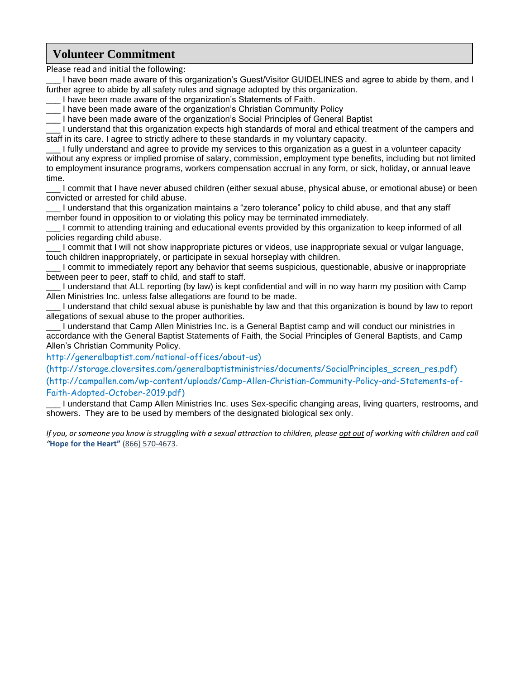## **Volunteer Commitment**

Please read and initial the following:

\_\_\_ I have been made aware of this organization's Guest/Visitor GUIDELINES and agree to abide by them, and I further agree to abide by all safety rules and signage adopted by this organization.

\_\_\_ I have been made aware of the organization's Statements of Faith.

I have been made aware of the organization's Christian Community Policy

\_\_\_ I have been made aware of the organization's Social Principles of General Baptist

\_\_\_ I understand that this organization expects high standards of moral and ethical treatment of the campers and staff in its care. I agree to strictly adhere to these standards in my voluntary capacity.

\_\_\_ I fully understand and agree to provide my services to this organization as a guest in a volunteer capacity without any express or implied promise of salary, commission, employment type benefits, including but not limited to employment insurance programs, workers compensation accrual in any form, or sick, holiday, or annual leave time.

I commit that I have never abused children (either sexual abuse, physical abuse, or emotional abuse) or been convicted or arrested for child abuse.

\_\_\_ I understand that this organization maintains a "zero tolerance" policy to child abuse, and that any staff member found in opposition to or violating this policy may be terminated immediately.

I commit to attending training and educational events provided by this organization to keep informed of all policies regarding child abuse.

I commit that I will not show inappropriate pictures or videos, use inappropriate sexual or vulgar language, touch children inappropriately, or participate in sexual horseplay with children.

I commit to immediately report any behavior that seems suspicious, questionable, abusive or inappropriate between peer to peer, staff to child, and staff to staff.

\_\_\_ I understand that ALL reporting (by law) is kept confidential and will in no way harm my position with Camp Allen Ministries Inc. unless false allegations are found to be made.

\_\_\_ I understand that child sexual abuse is punishable by law and that this organization is bound by law to report allegations of sexual abuse to the proper authorities.

\_\_\_ I understand that Camp Allen Ministries Inc. is a General Baptist camp and will conduct our ministries in accordance with the General Baptist Statements of Faith, the Social Principles of General Baptists, and Camp Allen's Christian Community Policy.

http://generalbaptist.com/national-offices/about-us)

(http://storage.cloversites.com/generalbaptistministries/documents/SocialPrinciples\_screen\_res.pdf) (http://campallen.com/wp-content/uploads/Camp-Allen-Christian-Community-Policy-and-Statements-of-Faith-Adopted-October-2019.pdf)

\_\_\_ I understand that Camp Allen Ministries Inc. uses Sex-specific changing areas, living quarters, restrooms, and showers. They are to be used by members of the designated biological sex only.

*If you, or someone you know is struggling with a sexual attraction to children, please opt out of working with children and call "***Hope for the Heart"** [\(866\) 570-4673.](tel:%28866%29%20570-4673)